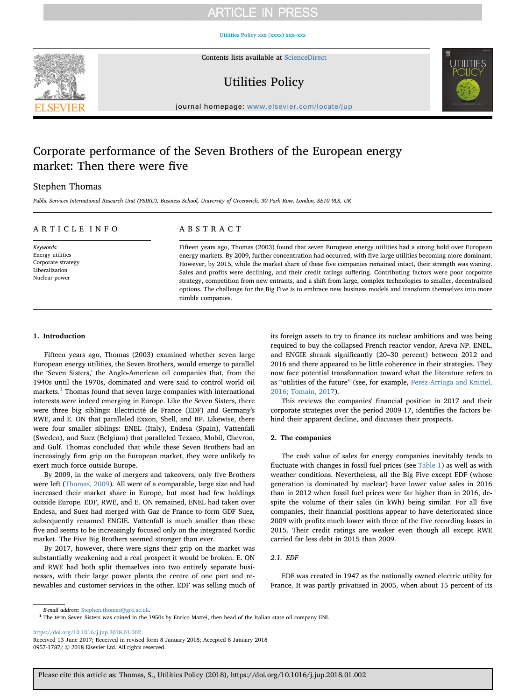# **ARTICLE IN PRESS**

[Utilities Policy xxx \(xxxx\) xxx–xxx](https://doi.org/10.1016/j.jup.2018.01.002)



Contents lists available at [ScienceDirect](http://www.sciencedirect.com/science/journal/09571787)

# Utilities Policy



journal homepage: [www.elsevier.com/locate/jup](https://www.elsevier.com/locate/jup)

# Corporate performance of the Seven Brothers of the European energy market: Then there were five

### Stephen Thomas

Public Services International Research Unit (PSIRU), Business School, University of Greenwich, 30 Park Row, London, SE10 9LS, UK

## ARTICLE INFO

Keywords: Energy utilities Corporate strategy Liberalization Nuclear power

## ABSTRACT

Fifteen years ago, Thomas (2003) found that seven European energy utilities had a strong hold over European energy markets. By 2009, further concentration had occurred, with five large utilities becoming more dominant. However, by 2015, while the market share of these five companies remained intact, their strength was waning. Sales and profits were declining, and their credit ratings suffering. Contributing factors were poor corporate strategy, competition from new entrants, and a shift from large, complex technologies to smaller, decentralised options. The challenge for the Big Five is to embrace new business models and transform themselves into more nimble companies.

#### 1. Introduction

Fifteen years ago, Thomas (2003) examined whether seven large European energy utilities, the Seven Brothers, would emerge to parallel the 'Seven Sisters,' the Anglo-American oil companies that, from the 1940s until the 1970s, dominated and were said to control world oil markets. $<sup>1</sup>$  Thomas found that seven large companies with international</sup> interests were indeed emerging in Europe. Like the Seven Sisters, there were three big siblings: Electricité de France (EDF) and Germany's RWE, and E. ON that paralleled Exxon, Shell, and BP. Likewise, there were four smaller siblings: ENEL (Italy), Endesa (Spain), Vattenfall (Sweden), and Suez (Belgium) that paralleled Texaco, Mobil, Chevron, and Gulf. Thomas concluded that while these Seven Brothers had an increasingly firm grip on the European market, they were unlikely to exert much force outside Europe.

By 2009, in the wake of mergers and takeovers, only five Brothers were left (Thomas, 2009). All were of a comparable, large size and had increased their market share in Europe, but most had few holdings outside Europe. EDF, RWE, and E. ON remained, ENEL had taken over Endesa, and Suez had merged with Gaz de France to form GDF Suez, subsequently renamed ENGIE. Vattenfall is much smaller than these five and seems to be increasingly focused only on the integrated Nordic market. The Five Big Brothers seemed stronger than ever.

By 2017, however, there were signs their grip on the market was substantially weakening and a real prospect it would be broken. E. ON and RWE had both split themselves into two entirely separate businesses, with their large power plants the centre of one part and renewables and customer services in the other. EDF was selling much of its foreign assets to try to finance its nuclear ambitions and was being required to buy the collapsed French reactor vendor, Areva NP. ENEL, and ENGIE shrank significantly (20–30 percent) between 2012 and 2016 and there appeared to be little coherence in their strategies. They now face potential transformation toward what the literature refers to as "utilities of the future" (see, for example, Perez-Arriaga and Knittel, 2016; Tomain, 2017).

This reviews the companies' financial position in 2017 and their corporate strategies over the period 2009-17, identifies the factors behind their apparent decline, and discusses their prospects.

#### 2. The companies

The cash value of sales for energy companies inevitably tends to fluctuate with changes in fossil fuel prices (see Table 1) as well as with weather conditions. Nevertheless, all the Big Five except EDF (whose generation is dominated by nuclear) have lower value sales in 2016 than in 2012 when fossil fuel prices were far higher than in 2016, despite the volume of their sales (in kWh) being similar. For all five companies, their financial positions appear to have deteriorated since 2009 with profits much lower with three of the five recording losses in 2015. Their credit ratings are weaker even though all except RWE carried far less debt in 2015 than 2009.

#### 2.1. EDF

EDF was created in 1947 as the nationally owned electric utility for France. It was partly privatised in 2005, when about 15 percent of its

<https://doi.org/10.1016/j.jup.2018.01.002>

 $E\!$   $\!m$  and  $\!d$   $\!d$   $\!d$   $\!d$   $\!m$   $\!s$   $\!d$   $\!m$   $\!m$   $\!m$   $\!m$   $\!m$   $\!m$   $\!m$   $\!m$   $\!m$   $\!m$   $\!m$   $\!m$   $\!m$   $\!m$   $\!m$   $\!m$   $\!m$   $\!m$   $\!m$   $\!m$   $\!m$   $\!m$   $\!m$   $\!m$   $\!m$   $\!m$   $\!m$ 

Received 13 June 2017; Received in revised form 8 January 2018; Accepted 8 January 2018 0957-1787/ © 2018 Elsevier Ltd. All rights reserved.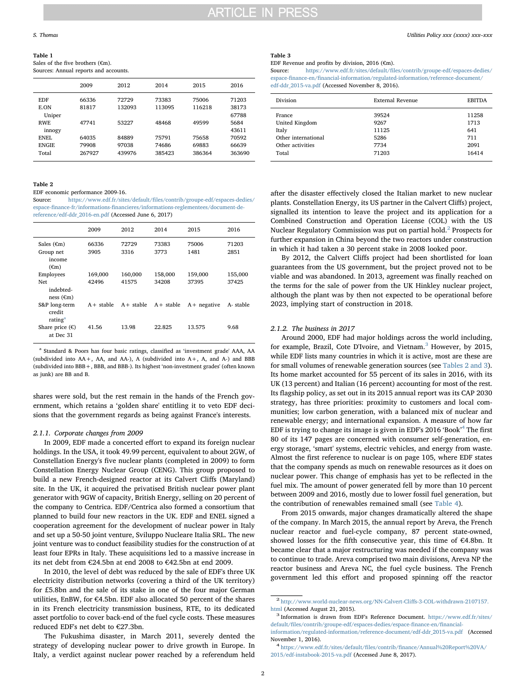#### Table 1

Sales of the five brothers (€m).

| Sources: Annual reports and accounts. |  |  |
|---------------------------------------|--|--|
|---------------------------------------|--|--|

|              | 2009   | 2012   | 2014   | 2015   | 2016   |
|--------------|--------|--------|--------|--------|--------|
| <b>EDF</b>   | 66336  | 72729  | 73383  | 75006  | 71203  |
| E.ON         | 81817  | 132093 | 113095 | 116218 | 38173  |
| Uniper       |        |        |        |        | 67788  |
| RWF.         | 47741  | 53227  | 48468  | 49599  | 5684   |
| innogy       |        |        |        |        | 43611  |
| ENEL.        | 64035  | 84889  | 75791  | 75658  | 70592  |
| <b>ENGIE</b> | 79908  | 97038  | 74686  | 69883  | 66639  |
| Total        | 267927 | 439976 | 385423 | 386364 | 363690 |

Table 2

EDF economic performance 2009-16.

Source: https://www.edf.fr/sites/default/fi[les/contrib/groupe-edf/espaces-dedies/](https://www.edf.fr/sites/default/files/contrib/groupe-edf/espaces-dedies/espace-finance-fr/informations-financieres/informations-reglementees/document-de-reference/edf-ddr_2016-en.pdf) espace-finance-fr/informations-fi[nancieres/informations-reglementees/document-de](https://www.edf.fr/sites/default/files/contrib/groupe-edf/espaces-dedies/espace-finance-fr/informations-financieres/informations-reglementees/document-de-reference/edf-ddr_2016-en.pdf)[reference/edf-ddr\\_2016-en.pdf](https://www.edf.fr/sites/default/files/contrib/groupe-edf/espaces-dedies/espace-finance-fr/informations-financieres/informations-reglementees/document-de-reference/edf-ddr_2016-en.pdf) (Accessed June 6, 2017)

|                                                      | 2009             | 2012             | 2014             | 2015             | 2016             |
|------------------------------------------------------|------------------|------------------|------------------|------------------|------------------|
| Sales $∈m)$<br>Group net<br>income<br>$(\epsilon m)$ | 66336<br>3905    | 72729<br>3316    | 73383<br>3773    | 75006<br>1481    | 71203<br>2851    |
| Employees<br>Net<br>indebted-<br>ness $(\epsilon m)$ | 169,000<br>42496 | 160,000<br>41575 | 158,000<br>34208 | 159,000<br>37395 | 155,000<br>37425 |
| S&P long-term<br>credit<br>rating <sup>a</sup>       | $A +$ stable     | $A+$ stable      | $A+$ stable      | $A + negative$   | A-stable         |
| Share price $(\epsilon)$<br>at Dec 31                | 41.56            | 13.98            | 22.825           | 13.575           | 9.68             |

<sup>a</sup> Standard & Poors has four basic ratings, classified as 'investment grade' AAA, AA (subdivided into AA+, AA, and AA-), A (subdivided into A+, A, and A-) and BBB (subdivided into BBB+, BBB, and BBB-). Its highest 'non-investment grades' (often known as junk) are BB and B.

shares were sold, but the rest remain in the hands of the French government, which retains a 'golden share' entitling it to veto EDF decisions that the government regards as being against France's interests.

#### 2.1.1. Corporate changes from 2009

In 2009, EDF made a concerted effort to expand its foreign nuclear holdings. In the USA, it took 49.99 percent, equivalent to about 2GW, of Constellation Energy's five nuclear plants (completed in 2009) to form Constellation Energy Nuclear Group (CENG). This group proposed to build a new French-designed reactor at its Calvert Cliffs (Maryland) site. In the UK, it acquired the privatised British nuclear power plant generator with 9GW of capacity, British Energy, selling on 20 percent of the company to Centrica. EDF/Centrica also formed a consortium that planned to build four new reactors in the UK. EDF and ENEL signed a cooperation agreement for the development of nuclear power in Italy and set up a 50-50 joint venture, Sviluppo Nucleare Italia SRL. The new joint venture was to conduct feasibility studies for the construction of at least four EPRs in Italy. These acquisitions led to a massive increase in its net debt from €24.5bn at end 2008 to €42.5bn at end 2009.

In 2010, the level of debt was reduced by the sale of EDF's three UK electricity distribution networks (covering a third of the UK territory) for £5.8bn and the sale of its stake in one of the four major German utilities, EnBW, for €4.5bn. EDF also allocated 50 percent of the shares in its French electricity transmission business, RTE, to its dedicated asset portfolio to cover back-end of the fuel cycle costs. These measures reduced EDF's net debt to €27.3bn.

The Fukushima disaster, in March 2011, severely dented the strategy of developing nuclear power to drive growth in Europe. In Italy, a verdict against nuclear power reached by a referendum held Table 3

EDF Revenue and profits by division, 2016 ( $\epsilon$ m).

Source: https://www.edf.fr/sites/default/fi[les/contrib/groupe-edf/espaces-dedies/](https://www.edf.fr/sites/default/files/contrib/groupe-edf/espaces-dedies/espace-finance-en/financial-information/regulated-information/reference-document/edf-ddr_2015-va.pdf) espace-finance-en/fi[nancial-information/regulated-information/reference-document/](https://www.edf.fr/sites/default/files/contrib/groupe-edf/espaces-dedies/espace-finance-en/financial-information/regulated-information/reference-document/edf-ddr_2015-va.pdf) [edf-ddr\\_2015-va.pdf](https://www.edf.fr/sites/default/files/contrib/groupe-edf/espaces-dedies/espace-finance-en/financial-information/regulated-information/reference-document/edf-ddr_2015-va.pdf) (Accessed November 8, 2016).

| Division            | External Revenue | <b>EBITDA</b> |
|---------------------|------------------|---------------|
| France              | 39524            | 11258         |
| United Kingdom      | 9267             | 1713          |
| Italy               | 11125            | 641           |
| Other international | 5286             | 711           |
| Other activities    | 7734             | 2091          |
| Total               | 71203            | 16414         |
|                     |                  |               |

after the disaster effectively closed the Italian market to new nuclear plants. Constellation Energy, its US partner in the Calvert Cliffs) project, signalled its intention to leave the project and its application for a Combined Construction and Operation License (COL) with the US Nuclear Regulatory Commission was put on partial hold.<sup>2</sup> Prospects for further expansion in China beyond the two reactors under construction in which it had taken a 30 percent stake in 2008 looked poor.

By 2012, the Calvert Cliffs project had been shortlisted for loan guarantees from the US government, but the project proved not to be viable and was abandoned. In 2013, agreement was finally reached on the terms for the sale of power from the UK Hinkley nuclear project, although the plant was by then not expected to be operational before 2023, implying start of construction in 2018.

#### 2.1.2. The business in 2017

Around 2000, EDF had major holdings across the world including, for example, Brazil, Cote D'Ivoire, and Vietnam.<sup>3</sup> However, by 2015, while EDF lists many countries in which it is active, most are these are for small volumes of renewable generation sources (see Tables 2 and 3). Its home market accounted for 55 percent of its sales in 2016, with its UK (13 percent) and Italian (16 percent) accounting for most of the rest. Its flagship policy, as set out in its 2015 annual report was its CAP 2030 strategy, has three priorities: proximity to customers and local communities; low carbon generation, with a balanced mix of nuclear and renewable energy; and international expansion. A measure of how far EDF is trying to change its image is given in EDF's 2016 'Book' <sup>4</sup> The first 80 of its 147 pages are concerned with consumer self-generation, energy storage, 'smart' systems, electric vehicles, and energy from waste. Almost the first reference to nuclear is on page 105, where EDF states that the company spends as much on renewable resources as it does on nuclear power. This change of emphasis has yet to be reflected in the fuel mix. The amount of power generated fell by more than 10 percent between 2009 and 2016, mostly due to lower fossil fuel generation, but the contribution of renewables remained small (see Table 4).

From 2015 onwards, major changes dramatically altered the shape of the company. In March 2015, the annual report by Areva, the French nuclear reactor and fuel-cycle company, 87 percent state-owned, showed losses for the fifth consecutive year, this time of €4.8bn. It became clear that a major restructuring was needed if the company was to continue to trade. Areva comprised two main divisions, Areva NP the reactor business and Areva NC, the fuel cycle business. The French government led this effort and proposed spinning off the reactor

 $^{\textbf{2}}$ [http://www.world-nuclear-news.org/NN-Calvert-Cli](http://www.world-nuclear-news.org/NN-Calvert-Cliffs-3-COL-withdrawn-2107157.html)ffs-3-COL-withdrawn-2107157. [html](http://www.world-nuclear-news.org/NN-Calvert-Cliffs-3-COL-withdrawn-2107157.html) (Accessed August 21, 2015).<br><sup>3</sup> Information is drawn from EDF's Reference Document. [https://www.edf.fr/sites/](https://www.edf.fr/sites/default/files/contrib/groupe-edf/espaces-dedies/espace-finance-en/financial-information/regulated-information/reference-document/edf-ddr_2015-va.pdf)

default/fi[les/contrib/groupe-edf/espaces-dedies/espace-](https://www.edf.fr/sites/default/files/contrib/groupe-edf/espaces-dedies/espace-finance-en/financial-information/regulated-information/reference-document/edf-ddr_2015-va.pdf)finance-en/financial[information/regulated-information/reference-document/edf-ddr\\_2015-va.pdf](https://www.edf.fr/sites/default/files/contrib/groupe-edf/espaces-dedies/espace-finance-en/financial-information/regulated-information/reference-document/edf-ddr_2015-va.pdf) (Accessed

November 1, 2016). <sup>4</sup> https://www.edf.fr/sites/default/files/contrib/fi[nance/Annual%20Report%20VA/](https://www.edf.fr/sites/default/files/contrib/finance/Annual%20Report%20VA/2015/edf-instabook-2015-va.pdf)

[<sup>2015/</sup>edf-instabook-2015-va.pdf](https://www.edf.fr/sites/default/files/contrib/finance/Annual%20Report%20VA/2015/edf-instabook-2015-va.pdf) (Accessed June 8, 2017).